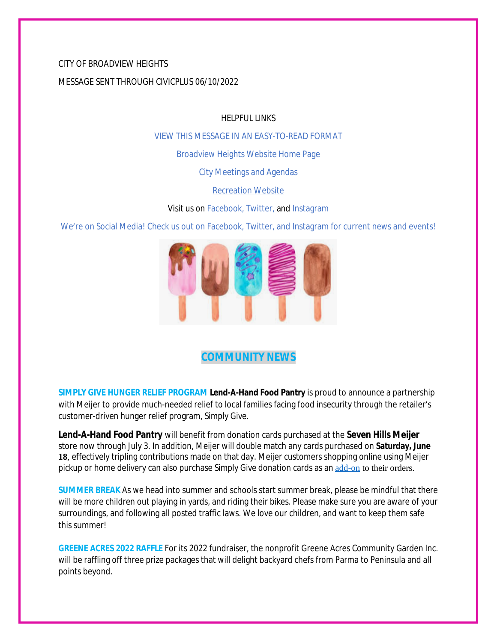## CITY OF BROADVIEW HEIGHTS

MESSAGE SENT THROUGH CIVICPLUS 06/10/2022

HELPFUL LINKS

[VIEW THIS MESSAGE IN AN EASY-TO-READ FORMAT](https://www.broadview-heights.org/Archive.aspx?AMID=37)

[Broadview Heights Website Home Page](https://www.broadview-heights.org/)

[City Meetings and Agendas](https://www.broadview-heights.org/1126/Agendas-Meeting-Minutes)

[Recreation Website](https://broadview-heights.org/292/Parks-Recreation)

Visit us on **Facebook**, [Twitter,](https://twitter.com/broadviewhts) and [Instagram](https://www.instagram.com/cityofbroadviewheights/)

We're on Social Media! Check us out on Facebook, Twitter, and Instagram for current news and events!



# **COMMUNITY NEWS**

**SIMPLY GIVE HUNGER RELIEF PROGRAM Lend-A-Hand Food Pantry** is proud to announce a partnership with Meijer to provide much-needed relief to local families facing food insecurity through the retailer's customer-driven hunger relief program, *Simply Give*.

**Lend-A-Hand Food Pantry** will benefit from donation cards purchased at the **Seven Hills Meijer** store now through July 3. In addition, Meijer will double match any cards purchased on **Saturday, June 18**, effectively tripling contributions made on that day. Meijer customers shopping online using Meijer pickup or home delivery can also purchase *Simply Give* donation cards as an [add-on](https://www.meijer.com/shopping/product/simply-give-10-food-pantry-donation/70882088231.html?icid=Redirect:SimplyGive) to their orders.

**SUMMER BREAK** As we head into summer and schools start summer break, please be mindful that there will be more children out playing in yards, and riding their bikes. Please make sure you are aware of your surroundings, and following all posted traffic laws. We love our children, and want to keep them safe this summer!

**GREENE ACRES 2022 RAFFLE** For its 2022 fundraiser, the nonprofit Greene Acres Community Garden Inc. will be raffling off three prize packages that will delight backyard chefs from Parma to Peninsula and all points beyond.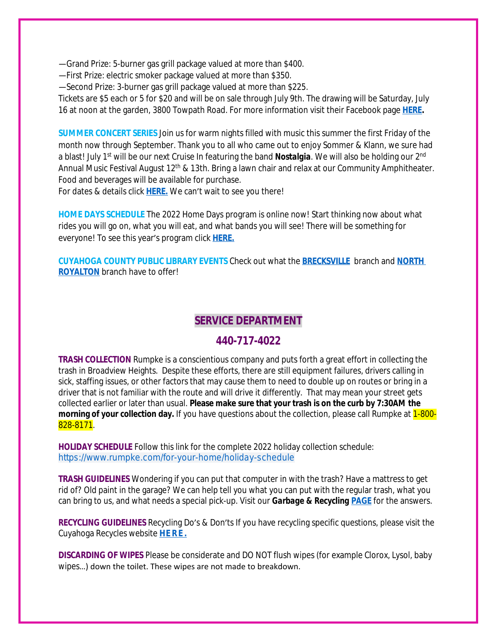—Grand Prize: 5-burner gas grill package valued at more than \$400.

—First Prize: electric smoker package valued at more than \$350.

—Second Prize: 3-burner gas grill package valued at more than \$225.

Tickets are \$5 each or 5 for \$20 and will be on sale through July 9th. The drawing will be Saturday, July 16 at noon at the garden, 3800 Towpath Road. For more information visit their Facebook page **[HERE.](https://www.facebook.com/greeneacresCG/)**

**SUMMER CONCERT SERIES** Join us for warm nights filled with music this summer the first Friday of the month now through September. Thank you to all who came out to enjoy Sommer & Klann, we sure had a blast! July 1<sup>st</sup> will be our next Cruise In featuring the band **Nostalgia**. We will also be holding our 2<sup>nd</sup> Annual Music Festival August 12<sup>th</sup> & 13th. Bring a lawn chair and relax at our Community Amphitheater. Food and beverages will be available for purchase.

For dates & details click **[HERE.](https://broadview-heights.org/ImageRepository/Document?documentId=9488)** We can't wait to see you there!

**HOME DAYS SCHEDULE** The 2022 Home Days program is online now! Start thinking now about what rides you will go on, what you will eat, and what bands you will see! There will be something for everyone! To see this year's program click **[HERE.](https://www.canva.com/design/DAE_rHLKtkA/AIFd_O5zMak0QjlSIEjVgQ/view?utm_content=DAE_rHLKtkA&utm_campaign=share_your_design&utm_medium=link&utm_source=shareyourdesignpanel%2311)**

**CUYAHOGA COUNTY PUBLIC LIBRARY EVENTS** Check out what the **[BRECKSVILLE](https://attend.cuyahogalibrary.org/events?r=thismonth)** branch and **[NORTH](https://attend.cuyahogalibrary.org/events?r=thismonth)  ROYALTON** branch have to offer!

## **SERVICE DEPARTMENT**

### **440-717-4022**

**TRASH COLLECTION** Rumpke is a conscientious company and puts forth a great effort in collecting the trash in Broadview Heights. Despite these efforts, there are still equipment failures, drivers calling in sick, staffing issues, or other factors that may cause them to need to double up on routes or bring in a driver that is not familiar with the route and will drive it differently. That may mean your street gets collected earlier or later than usual. **Please make sure that your trash is on the curb by 7:30AM the morning of your collection day.** If you have questions about the collection, please call Rumpke at 1-800-828-8171.

**HOLIDAY SCHEDULE** Follow this link for the complete 2022 holiday collection schedule: [https://www.rumpke.com/for-your-home/holiday-schedule](https://www.rumpke.com/for-your-home/holiday-schedule?fbclid=IwAR1VvEdr_iqUoIZvq14MYSkKzfzQ-6sfsPd4R2lvikCS1gCCyScPNuKgygE)

**TRASH GUIDELINES** Wondering if you can put that computer in with the trash? Have a mattress to get rid of? Old paint in the garage? We can help tell you what you can put with the regular trash, what you can bring to us, and what needs a special pick-up. Visit our *Garbage & Recycling* **[PAGE](https://broadview-heights.org/1027/Garbage-Recycling)** for the answers.

**RECYCLING GUIDELINES** Recycling Do's & Don'ts If you have recycling specific questions, please visit the Cuyahoga Recycles website **[HERE.](https://cuyahogarecycles.org/how_to_recycle)**

**DISCARDING OF WIPES** Please be considerate and DO NOT flush wipes (for example Clorox, Lysol, baby wipes…) down the toilet. These wipes are not made to breakdown.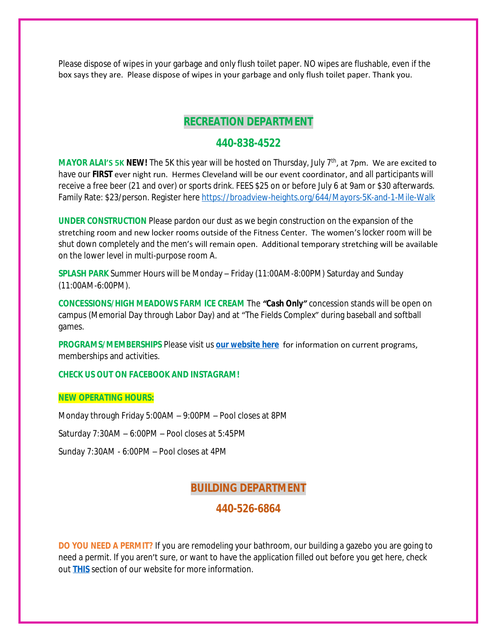Please dispose of wipes in your garbage and only flush toilet paper. NO wipes are flushable, even if the box says they are. Please dispose of wipes in your garbage and only flush toilet paper. Thank you.

## **RECREATION DEPARTMENT**

### **440-838-4522**

**MAYOR ALAI'S 5K NEW!** The 5K this year will be hosted on Thursday, July 7<sup>th</sup>, at 7pm. We are excited to have our **FIRST** ever night run. Hermes Cleveland will be our event coordinator, and all participants will receive a free beer (21 and over) or sports drink. FEES \$25 on or before July 6 at 9am or \$30 afterwards. Family Rate: \$23/person. Register here <https://broadview-heights.org/644/Mayors-5K-and-1-Mile-Walk>

**UNDER CONSTRUCTION** Please pardon our dust as we begin construction on the expansion of the stretching room and new locker rooms outside of the Fitness Center. The women's locker room will be shut down completely and the men's will remain open. Additional temporary stretching will be available on the lower level in multi-purpose room A.

**SPLASH PARK** Summer Hours will be Monday – Friday (11:00AM-8:00PM) Saturday and Sunday (11:00AM-6:00PM).

**CONCESSIONS/HIGH MEADOWS FARM ICE CREAM** The *"Cash Only"* concession stands will be open on campus (Memorial Day through Labor Day) and at "The Fields Complex" during baseball and softball games.

**PROGRAMS/MEMBERSHIPS** Please visit us **[our website here](https://www.broadview-heights.org/292/Parks-Recreation)** for information on current programs, memberships and activities.

### **CHECK US OUT ON FACEBOOK AND INSTAGRAM!**

#### **NEW OPERATING HOURS:**

Monday through Friday 5:00AM – 9:00PM – Pool closes at 8PM

Saturday 7:30AM – 6:00PM – Pool closes at 5:45PM

Sunday 7:30AM - 6:00PM – Pool closes at 4PM

## **BUILDING DEPARTMENT**

### **440-526-6864**

**DO YOU NEED A PERMIT?** If you are remodeling your bathroom, our building a gazebo you are going to need a permit. If you aren't sure, or want to have the application filled out before you get here, check out **[THIS](https://broadview-heights.org/106/Applications-Forms-Fees)** section of our website for more information.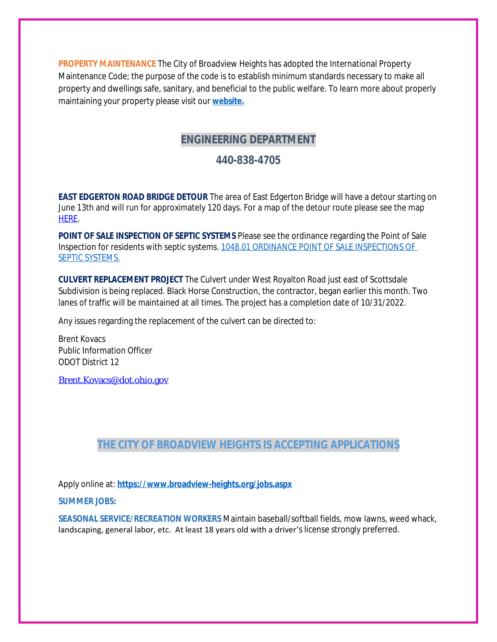**PROPERTY MAINTENANCE** The City of Broadview Heights has adopted the International Property Maintenance Code; the purpose of the code is to establish minimum standards necessary to make all property and dwellings safe, sanitary, and beneficial to the public welfare. To learn more about properly maintaining your property please visit our **[website.](https://broadview-heights.org/108/Property-Maintenance)**

# **ENGINEERING DEPARTMENT**

## **440-838-4705**

**EAST EDGERTON ROAD BRIDGE DETOUR** The area of East Edgerton Bridge will have a detour starting on June 13th and will run for approximately 120 days. For a map of the detour route please see the map [HERE.](https://www.facebook.com/photo/?fbid=337885605166630&set=a.238803055074886)

**POINT OF SALE INSPECTION OF SEPTIC SYSTEMS** Please see the ordinance regarding the Point of Sale Inspection for residents with septic systems. [1048.01 ORDINANCE POINT OF SALE INSPECTIONS OF](https://codelibrary.amlegal.com/codes/broadviewhts/latest/broadview_oh/0-0-0-13398)  SEPTIC SYSTEMS.

**CULVERT REPLACEMENT PROJECT** The Culvert under West Royalton Road just east of Scottsdale Subdivision is being replaced. Black Horse Construction, the contractor, began earlier this month. Two lanes of traffic will be maintained at all times. The project has a completion date of 10/31/2022.

Any issues regarding the replacement of the culvert can be directed to:

Brent Kovacs Public Information Officer ODOT District 12

[Brent.Kovacs@dot.ohio.gov](mailto:Brent.Kovacs@dot.ohio.gov)

# **THE CITY OF BROADVIEW HEIGHTS IS ACCEPTING APPLICATIONS**

Apply online at: **<https://www.broadview-heights.org/jobs.aspx>**

**SUMMER JOBS:**

**SEASONAL SERVICE/RECREATION WORKERS** Maintain baseball/softball fields, mow lawns, weed whack, landscaping, general labor, etc. At least 18 years old with a driver's license strongly preferred.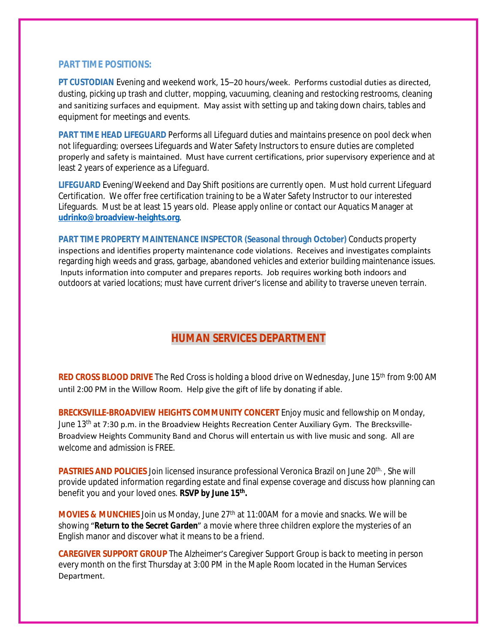### **PART TIME POSITIONS:**

**PT CUSTODIAN** Evening and weekend work, 15–20 hours/week. Performs custodial duties as directed, dusting, picking up trash and clutter, mopping, vacuuming, cleaning and restocking restrooms, cleaning and sanitizing surfaces and equipment. May assist with setting up and taking down chairs, tables and equipment for meetings and events.

**PART TIME HEAD LIFEGUARD** Performs all Lifeguard duties and maintains presence on pool deck when not lifeguarding; oversees Lifeguards and Water Safety Instructors to ensure duties are completed properly and safety is maintained. Must have current certifications, prior supervisory experience and at least 2 years of experience as a Lifeguard.

**LIFEGUARD** Evening/Weekend and Day Shift positions are currently open. Must hold current Lifeguard Certification. We offer free certification training to be a Water Safety Instructor to our interested Lifeguards. Must be at least 15 years old. Please apply online or contact our Aquatics Manager at **[udrinko@broadview-heights.org](mailto:udrinko@broadview-heights.org)**.

**PART TIME PROPERTY MAINTENANCE INSPECTOR (Seasonal through October)** Conducts property inspections and identifies property maintenance code violations. Receives and investigates complaints regarding high weeds and grass, garbage, abandoned vehicles and exterior building maintenance issues. Inputs information into computer and prepares reports. Job requires working both indoors and outdoors at varied locations; must have current driver's license and ability to traverse uneven terrain.

# **HUMAN SERVICES DEPARTMENT**

RED CROSS BLOOD DRIVE The Red Cross is holding a blood drive on Wednesday, June 15<sup>th</sup> from 9:00 AM until 2:00 PM in the Willow Room. Help give the gift of life by donating if able.

**BRECKSVILLE-BROADVIEW HEIGHTS COMMUNITY CONCERT** Enjoy music and fellowship on Monday, June  $13<sup>th</sup>$  at 7:30 p.m. in the Broadview Heights Recreation Center Auxiliary Gym. The Brecksville-Broadview Heights Community Band and Chorus will entertain us with live music and song. All are welcome and admission is FREE.

**PASTRIES AND POLICIES** Join licensed insurance professional Veronica Brazil on June 20<sup>th.</sup>, She will provide updated information regarding estate and final expense coverage and discuss how planning can benefit you and your loved ones. *RSVP by June 15th .*

**MOVIES & MUNCHIES** Join us Monday, June 27<sup>th</sup> at 11:00AM for a movie and snacks. We will be showing "*Return to the Secret Garden*" a movie where three children explore the mysteries of an English manor and discover what it means to be a friend.

**CAREGIVER SUPPORT GROUP** The Alzheimer's Caregiver Support Group is back to meeting in person every month on the first Thursday at 3:00 PM in the Maple Room located in the Human Services Department.